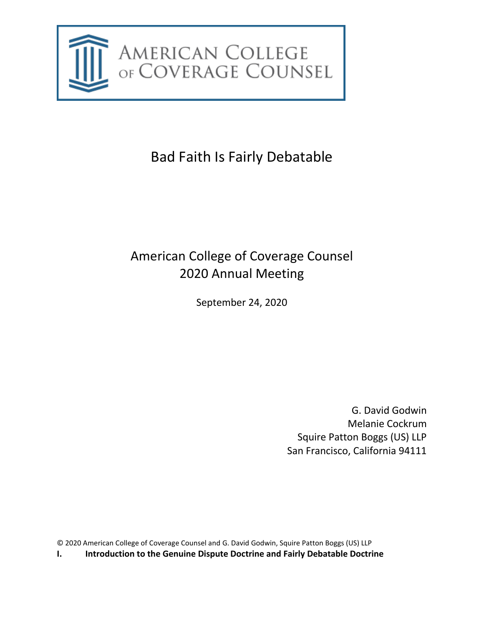

# Bad Faith Is Fairly Debatable

# American College of Coverage Counsel 2020 Annual Meeting

September 24, 2020

G. David Godwin Melanie Cockrum Squire Patton Boggs (US) LLP San Francisco, California 94111

© 2020 American College of Coverage Counsel and G. David Godwin, Squire Patton Boggs (US) LLP

**I. Introduction to the Genuine Dispute Doctrine and Fairly Debatable Doctrine**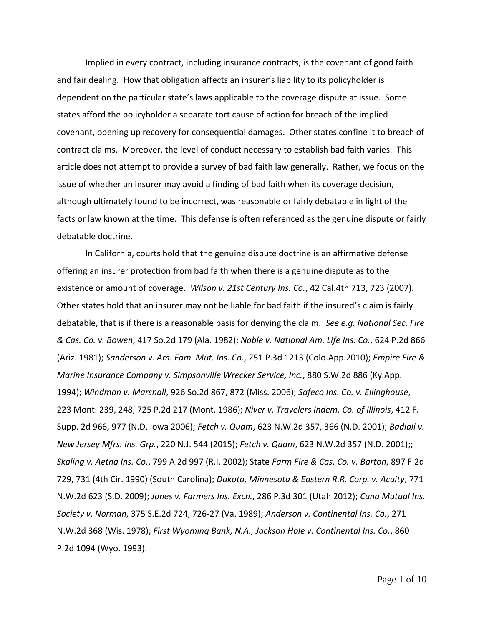Implied in every contract, including insurance contracts, is the covenant of good faith and fair dealing. How that obligation affects an insurer's liability to its policyholder is dependent on the particular state's laws applicable to the coverage dispute at issue. Some states afford the policyholder a separate tort cause of action for breach of the implied covenant, opening up recovery for consequential damages. Other states confine it to breach of contract claims. Moreover, the level of conduct necessary to establish bad faith varies. This article does not attempt to provide a survey of bad faith law generally. Rather, we focus on the issue of whether an insurer may avoid a finding of bad faith when its coverage decision, although ultimately found to be incorrect, was reasonable or fairly debatable in light of the facts or law known at the time. This defense is often referenced as the genuine dispute or fairly debatable doctrine.

In California, courts hold that the genuine dispute doctrine is an affirmative defense offering an insurer protection from bad faith when there is a genuine dispute as to the existence or amount of coverage. *Wilson v. 21st Century Ins. Co.*, 42 Cal.4th 713, 723 (2007). Other states hold that an insurer may not be liable for bad faith if the insured's claim is fairly debatable, that is if there is a reasonable basis for denying the claim. *See e.g. National Sec. Fire & Cas. Co. v. Bowen*, 417 So.2d 179 (Ala. 1982); *Noble v. National Am. Life Ins. Co.*, 624 P.2d 866 (Ariz. 1981); *Sanderson v. Am. Fam. Mut. Ins. Co.*, 251 P.3d 1213 (Colo.App.2010); *Empire Fire & Marine Insurance Company v. Simpsonville Wrecker Service, Inc.*, 880 S.W.2d 886 (Ky.App. 1994); *Windmon v. Marshall*, 926 So.2d 867, 872 (Miss. 2006); *Safeco Ins. Co. v. Ellinghouse*, 223 Mont. 239, 248, 725 P.2d 217 (Mont. 1986); *Niver v. Travelers Indem. Co. of Illinois*, 412 F. Supp. 2d 966, 977 (N.D. Iowa 2006); *Fetch v. Quam*, 623 N.W.2d 357, 366 (N.D. 2001); *Badiali v. New Jersey Mfrs. Ins. Grp.*, 220 N.J. 544 (2015); *Fetch v. Quam*, 623 N.W.2d 357 (N.D. 2001);; *Skaling v. Aetna Ins. Co.*, 799 A.2d 997 (R.I. 2002); State *Farm Fire & Cas. Co. v. Barton*, 897 F.2d 729, 731 (4th Cir. 1990) (South Carolina); *Dakota, Minnesota & Eastern R.R. Corp. v. Acuity*, 771 N.W.2d 623 (S.D. 2009); *Jones v. Farmers Ins. Exch.*, 286 P.3d 301 (Utah 2012); *Cuna Mutual Ins. Society v. Norman*, 375 S.E.2d 724, 726-27 (Va. 1989); *Anderson v. Continental Ins. Co.*, 271 N.W.2d 368 (Wis. 1978); *First Wyoming Bank, N.A., Jackson Hole v. Continental Ins. Co.*, 860 P.2d 1094 (Wyo. 1993).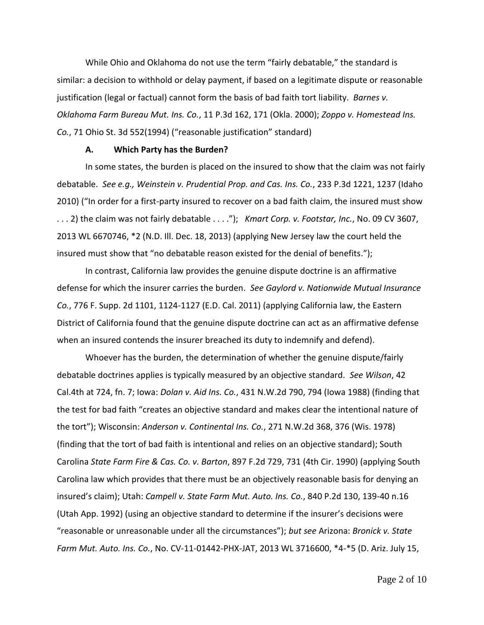While Ohio and Oklahoma do not use the term "fairly debatable," the standard is similar: a decision to withhold or delay payment, if based on a legitimate dispute or reasonable justification (legal or factual) cannot form the basis of bad faith tort liability. *Barnes v. Oklahoma Farm Bureau Mut. Ins. Co.*, 11 P.3d 162, 171 (Okla. 2000); *Zoppo v. Homestead Ins. Co.*, 71 Ohio St. 3d 552(1994) ("reasonable justification" standard)

#### **A. Which Party has the Burden?**

In some states, the burden is placed on the insured to show that the claim was not fairly debatable. *See e.g., Weinstein v. Prudential Prop. and Cas. Ins. Co.*, 233 P.3d 1221, 1237 (Idaho 2010) ("In order for a first-party insured to recover on a bad faith claim, the insured must show . . . 2) the claim was not fairly debatable . . . ."); *Kmart Corp. v. Footstar, Inc.*, No. 09 CV 3607, 2013 WL 6670746, \*2 (N.D. Ill. Dec. 18, 2013) (applying New Jersey law the court held the insured must show that "no debatable reason existed for the denial of benefits.");

In contrast, California law provides the genuine dispute doctrine is an affirmative defense for which the insurer carries the burden. *See Gaylord v. Nationwide Mutual Insurance Co.*, 776 F. Supp. 2d 1101, 1124-1127 (E.D. Cal. 2011) (applying California law, the Eastern District of California found that the genuine dispute doctrine can act as an affirmative defense when an insured contends the insurer breached its duty to indemnify and defend).

Whoever has the burden, the determination of whether the genuine dispute/fairly debatable doctrines applies is typically measured by an objective standard. *See Wilson*, 42 Cal.4th at 724, fn. 7; Iowa: *Dolan v. Aid Ins. Co.*, 431 N.W.2d 790, 794 (Iowa 1988) (finding that the test for bad faith "creates an objective standard and makes clear the intentional nature of the tort"); Wisconsin: *Anderson v. Continental Ins. Co.*, 271 N.W.2d 368, 376 (Wis. 1978) (finding that the tort of bad faith is intentional and relies on an objective standard); South Carolina *State Farm Fire & Cas. Co. v. Barton*, 897 F.2d 729, 731 (4th Cir. 1990) (applying South Carolina law which provides that there must be an objectively reasonable basis for denying an insured's claim); Utah: *Campell v. State Farm Mut. Auto. Ins. Co.*, 840 P.2d 130, 139-40 n.16 (Utah App. 1992) (using an objective standard to determine if the insurer's decisions were "reasonable or unreasonable under all the circumstances"); *but see* Arizona: *Bronick v. State Farm Mut. Auto. Ins. Co.*, No. CV-11-01442-PHX-JAT, 2013 WL 3716600, \*4-\*5 (D. Ariz. July 15,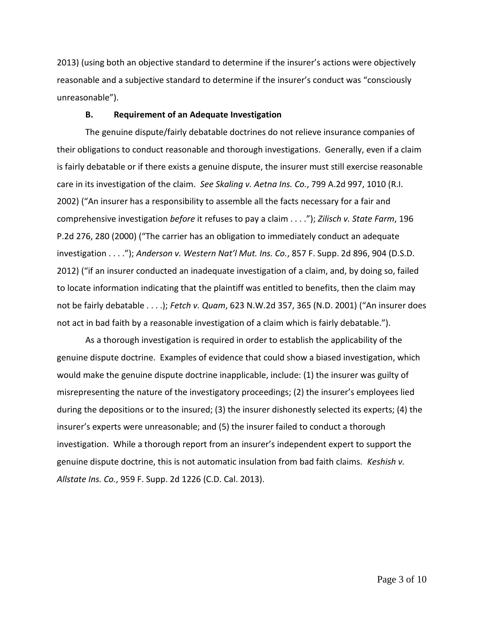2013) (using both an objective standard to determine if the insurer's actions were objectively reasonable and a subjective standard to determine if the insurer's conduct was "consciously unreasonable").

### **B. Requirement of an Adequate Investigation**

The genuine dispute/fairly debatable doctrines do not relieve insurance companies of their obligations to conduct reasonable and thorough investigations. Generally, even if a claim is fairly debatable or if there exists a genuine dispute, the insurer must still exercise reasonable care in its investigation of the claim. *See Skaling v. Aetna Ins. Co.*, 799 A.2d 997, 1010 (R.I. 2002) ("An insurer has a responsibility to assemble all the facts necessary for a fair and comprehensive investigation *before* it refuses to pay a claim . . . ."); *Zilisch v. State Farm*, 196 P.2d 276, 280 (2000) ("The carrier has an obligation to immediately conduct an adequate investigation . . . ."); *Anderson v. Western Nat'l Mut. Ins. Co.*, 857 F. Supp. 2d 896, 904 (D.S.D. 2012) ("if an insurer conducted an inadequate investigation of a claim, and, by doing so, failed to locate information indicating that the plaintiff was entitled to benefits, then the claim may not be fairly debatable . . . .); *Fetch v. Quam*, 623 N.W.2d 357, 365 (N.D. 2001) ("An insurer does not act in bad faith by a reasonable investigation of a claim which is fairly debatable.").

As a thorough investigation is required in order to establish the applicability of the genuine dispute doctrine. Examples of evidence that could show a biased investigation, which would make the genuine dispute doctrine inapplicable, include: (1) the insurer was guilty of misrepresenting the nature of the investigatory proceedings; (2) the insurer's employees lied during the depositions or to the insured; (3) the insurer dishonestly selected its experts; (4) the insurer's experts were unreasonable; and (5) the insurer failed to conduct a thorough investigation. While a thorough report from an insurer's independent expert to support the genuine dispute doctrine, this is not automatic insulation from bad faith claims. *Keshish v. Allstate Ins. Co.*, 959 F. Supp. 2d 1226 (C.D. Cal. 2013).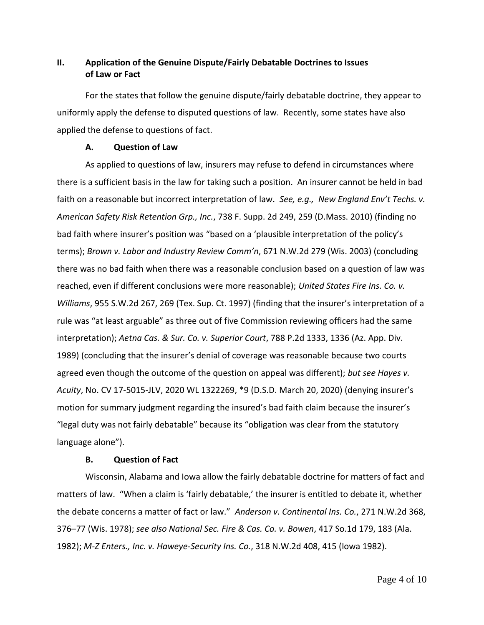## **II. Application of the Genuine Dispute/Fairly Debatable Doctrines to Issues of Law or Fact**

For the states that follow the genuine dispute/fairly debatable doctrine, they appear to uniformly apply the defense to disputed questions of law. Recently, some states have also applied the defense to questions of fact.

## **A. Question of Law**

As applied to questions of law, insurers may refuse to defend in circumstances where there is a sufficient basis in the law for taking such a position. An insurer cannot be held in bad faith on a reasonable but incorrect interpretation of law. *See, e.g., New England Env't Techs. v. American Safety Risk Retention Grp., Inc.*, 738 F. Supp. 2d 249, 259 (D.Mass. 2010) (finding no bad faith where insurer's position was "based on a 'plausible interpretation of the policy's terms); *Brown v. Labor and Industry Review Comm'n*, 671 N.W.2d 279 (Wis. 2003) (concluding there was no bad faith when there was a reasonable conclusion based on a question of law was reached, even if different conclusions were more reasonable); *United States Fire Ins. Co. v. Williams*, 955 S.W.2d 267, 269 (Tex. Sup. Ct. 1997) (finding that the insurer's interpretation of a rule was "at least arguable" as three out of five Commission reviewing officers had the same interpretation); *Aetna Cas. & Sur. Co. v. Superior Court*, 788 P.2d 1333, 1336 (Az. App. Div. 1989) (concluding that the insurer's denial of coverage was reasonable because two courts agreed even though the outcome of the question on appeal was different); *but see Hayes v. Acuity*, No. CV 17-5015-JLV, 2020 WL 1322269, \*9 (D.S.D. March 20, 2020) (denying insurer's motion for summary judgment regarding the insured's bad faith claim because the insurer's "legal duty was not fairly debatable" because its "obligation was clear from the statutory language alone").

## **B. Question of Fact**

Wisconsin, Alabama and Iowa allow the fairly debatable doctrine for matters of fact and matters of law. "When a claim is 'fairly debatable,' the insurer is entitled to debate it, whether the debate concerns a matter of fact or law." *Anderson v. Continental Ins. Co.*, 271 N.W.2d 368, 376–77 (Wis. 1978); *see also National Sec. Fire & Cas. Co. v. Bowen*, 417 So.1d 179, 183 (Ala. 1982); *M-Z Enters., Inc. v. Haweye-Security Ins. Co.*, 318 N.W.2d 408, 415 (Iowa 1982).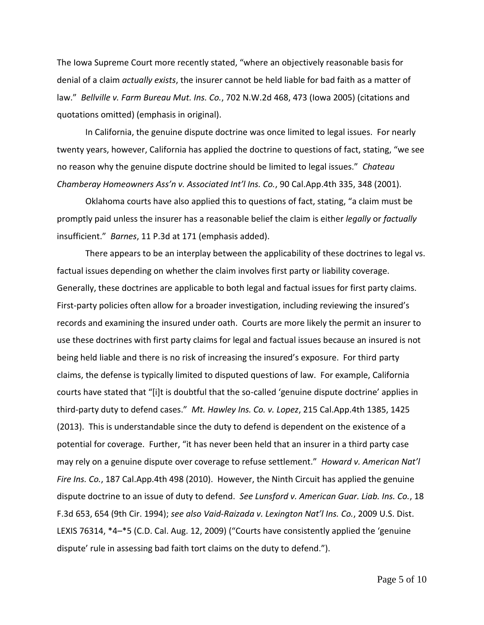The Iowa Supreme Court more recently stated, "where an objectively reasonable basis for denial of a claim *actually exists*, the insurer cannot be held liable for bad faith as a matter of law." *Bellville v. Farm Bureau Mut. Ins. Co.*, 702 N.W.2d 468, 473 (Iowa 2005) (citations and quotations omitted) (emphasis in original).

In California, the genuine dispute doctrine was once limited to legal issues. For nearly twenty years, however, California has applied the doctrine to questions of fact, stating, "we see no reason why the genuine dispute doctrine should be limited to legal issues." *Chateau Chamberay Homeowners Ass'n v. Associated Int'l Ins. Co.*, 90 Cal.App.4th 335, 348 (2001).

Oklahoma courts have also applied this to questions of fact, stating, "a claim must be promptly paid unless the insurer has a reasonable belief the claim is either *legally* or *factually* insufficient." *Barnes*, 11 P.3d at 171 (emphasis added).

There appears to be an interplay between the applicability of these doctrines to legal vs. factual issues depending on whether the claim involves first party or liability coverage. Generally, these doctrines are applicable to both legal and factual issues for first party claims. First-party policies often allow for a broader investigation, including reviewing the insured's records and examining the insured under oath. Courts are more likely the permit an insurer to use these doctrines with first party claims for legal and factual issues because an insured is not being held liable and there is no risk of increasing the insured's exposure. For third party claims, the defense is typically limited to disputed questions of law. For example, California courts have stated that "[i]t is doubtful that the so-called 'genuine dispute doctrine' applies in third-party duty to defend cases." *Mt. Hawley Ins. Co. v. Lopez*, 215 Cal.App.4th 1385, 1425 (2013). This is understandable since the duty to defend is dependent on the existence of a potential for coverage. Further, "it has never been held that an insurer in a third party case may rely on a genuine dispute over coverage to refuse settlement." *Howard v. American Nat'l Fire Ins. Co.*, 187 Cal.App.4th 498 (2010). However, the Ninth Circuit has applied the genuine dispute doctrine to an issue of duty to defend. *See Lunsford v. American Guar. Liab. Ins. Co.*, 18 F.3d 653, 654 (9th Cir. 1994); *see also Vaid-Raizada v. Lexington Nat'l Ins. Co.*, 2009 U.S. Dist. LEXIS 76314, \*4–\*5 (C.D. Cal. Aug. 12, 2009) ("Courts have consistently applied the 'genuine dispute' rule in assessing bad faith tort claims on the duty to defend.").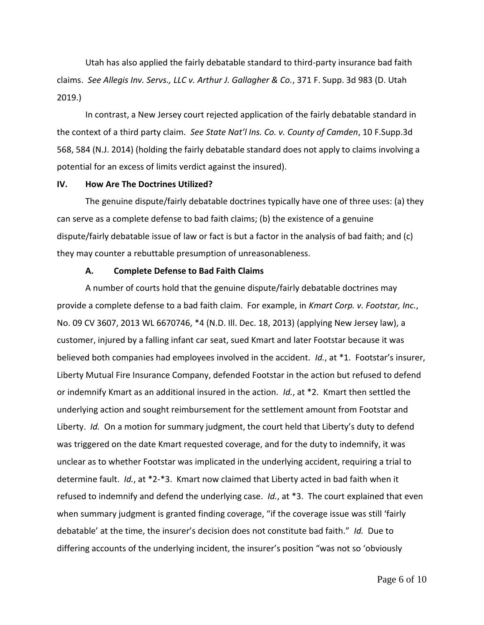Utah has also applied the fairly debatable standard to third-party insurance bad faith claims. *See Allegis Inv. Servs., LLC v. Arthur J. Gallagher & Co.*, 371 F. Supp. 3d 983 (D. Utah 2019.)

In contrast, a New Jersey court rejected application of the fairly debatable standard in the context of a third party claim. *See State Nat'l Ins. Co. v. County of Camden*, 10 F.Supp.3d 568, 584 (N.J. 2014) (holding the fairly debatable standard does not apply to claims involving a potential for an excess of limits verdict against the insured).

### **IV. How Are The Doctrines Utilized?**

The genuine dispute/fairly debatable doctrines typically have one of three uses: (a) they can serve as a complete defense to bad faith claims; (b) the existence of a genuine dispute/fairly debatable issue of law or fact is but a factor in the analysis of bad faith; and (c) they may counter a rebuttable presumption of unreasonableness.

#### **A. Complete Defense to Bad Faith Claims**

A number of courts hold that the genuine dispute/fairly debatable doctrines may provide a complete defense to a bad faith claim. For example, in *Kmart Corp. v. Footstar, Inc.*, No. 09 CV 3607, 2013 WL 6670746, \*4 (N.D. Ill. Dec. 18, 2013) (applying New Jersey law), a customer, injured by a falling infant car seat, sued Kmart and later Footstar because it was believed both companies had employees involved in the accident. *Id.*, at \*1. Footstar's insurer, Liberty Mutual Fire Insurance Company, defended Footstar in the action but refused to defend or indemnify Kmart as an additional insured in the action. *Id.*, at \*2. Kmart then settled the underlying action and sought reimbursement for the settlement amount from Footstar and Liberty. *Id.* On a motion for summary judgment, the court held that Liberty's duty to defend was triggered on the date Kmart requested coverage, and for the duty to indemnify, it was unclear as to whether Footstar was implicated in the underlying accident, requiring a trial to determine fault. *Id.*, at \*2-\*3. Kmart now claimed that Liberty acted in bad faith when it refused to indemnify and defend the underlying case. *Id.*, at \*3. The court explained that even when summary judgment is granted finding coverage, "if the coverage issue was still 'fairly debatable' at the time, the insurer's decision does not constitute bad faith." *Id.* Due to differing accounts of the underlying incident, the insurer's position "was not so 'obviously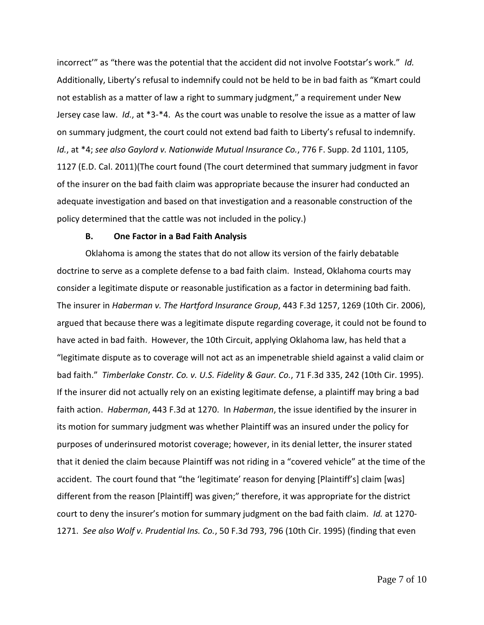incorrect'" as "there was the potential that the accident did not involve Footstar's work." *Id.* Additionally, Liberty's refusal to indemnify could not be held to be in bad faith as "Kmart could not establish as a matter of law a right to summary judgment," a requirement under New Jersey case law. *Id.*, at \*3-\*4. As the court was unable to resolve the issue as a matter of law on summary judgment, the court could not extend bad faith to Liberty's refusal to indemnify. *Id.*, at \*4; *see also Gaylord v. Nationwide Mutual Insurance Co.*, 776 F. Supp. 2d 1101, 1105, 1127 (E.D. Cal. 2011)(The court found (The court determined that summary judgment in favor of the insurer on the bad faith claim was appropriate because the insurer had conducted an adequate investigation and based on that investigation and a reasonable construction of the policy determined that the cattle was not included in the policy.)

#### **B. One Factor in a Bad Faith Analysis**

Oklahoma is among the states that do not allow its version of the fairly debatable doctrine to serve as a complete defense to a bad faith claim. Instead, Oklahoma courts may consider a legitimate dispute or reasonable justification as a factor in determining bad faith. The insurer in *Haberman v. The Hartford Insurance Group*, 443 F.3d 1257, 1269 (10th Cir. 2006), argued that because there was a legitimate dispute regarding coverage, it could not be found to have acted in bad faith. However, the 10th Circuit, applying Oklahoma law, has held that a "legitimate dispute as to coverage will not act as an impenetrable shield against a valid claim or bad faith." *Timberlake Constr. Co. v. U.S. Fidelity & Gaur. Co.*, 71 F.3d 335, 242 (10th Cir. 1995). If the insurer did not actually rely on an existing legitimate defense, a plaintiff may bring a bad faith action. *Haberman*, 443 F.3d at 1270. In *Haberman*, the issue identified by the insurer in its motion for summary judgment was whether Plaintiff was an insured under the policy for purposes of underinsured motorist coverage; however, in its denial letter, the insurer stated that it denied the claim because Plaintiff was not riding in a "covered vehicle" at the time of the accident. The court found that "the 'legitimate' reason for denying [Plaintiff's] claim [was] different from the reason [Plaintiff] was given;" therefore, it was appropriate for the district court to deny the insurer's motion for summary judgment on the bad faith claim. *Id.* at 1270- 1271. *See also Wolf v. Prudential Ins. Co.*, 50 F.3d 793, 796 (10th Cir. 1995) (finding that even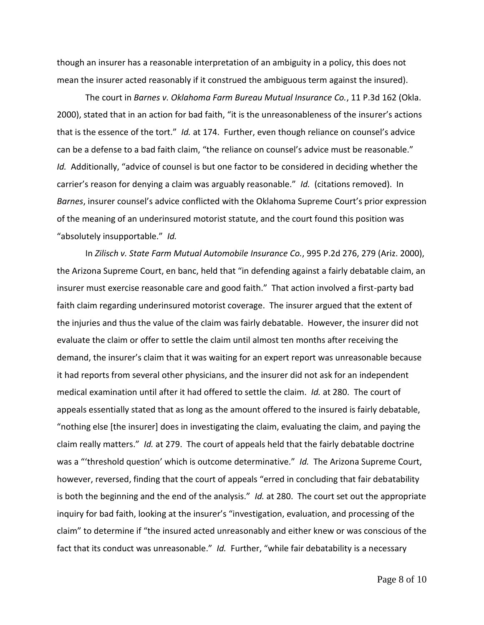though an insurer has a reasonable interpretation of an ambiguity in a policy, this does not mean the insurer acted reasonably if it construed the ambiguous term against the insured).

The court in *Barnes v. Oklahoma Farm Bureau Mutual Insurance Co.*, 11 P.3d 162 (Okla. 2000), stated that in an action for bad faith, "it is the unreasonableness of the insurer's actions that is the essence of the tort." *Id.* at 174. Further, even though reliance on counsel's advice can be a defense to a bad faith claim, "the reliance on counsel's advice must be reasonable." *Id.* Additionally, "advice of counsel is but one factor to be considered in deciding whether the carrier's reason for denying a claim was arguably reasonable." *Id.* (citations removed). In *Barnes*, insurer counsel's advice conflicted with the Oklahoma Supreme Court's prior expression of the meaning of an underinsured motorist statute, and the court found this position was "absolutely insupportable." *Id.*

In *Zilisch v. State Farm Mutual Automobile Insurance Co.*, 995 P.2d 276, 279 (Ariz. 2000), the Arizona Supreme Court, en banc, held that "in defending against a fairly debatable claim, an insurer must exercise reasonable care and good faith." That action involved a first-party bad faith claim regarding underinsured motorist coverage. The insurer argued that the extent of the injuries and thus the value of the claim was fairly debatable. However, the insurer did not evaluate the claim or offer to settle the claim until almost ten months after receiving the demand, the insurer's claim that it was waiting for an expert report was unreasonable because it had reports from several other physicians, and the insurer did not ask for an independent medical examination until after it had offered to settle the claim. *Id.* at 280. The court of appeals essentially stated that as long as the amount offered to the insured is fairly debatable, "nothing else [the insurer] does in investigating the claim, evaluating the claim, and paying the claim really matters." *Id.* at 279. The court of appeals held that the fairly debatable doctrine was a "'threshold question' which is outcome determinative." *Id.* The Arizona Supreme Court, however, reversed, finding that the court of appeals "erred in concluding that fair debatability is both the beginning and the end of the analysis." *Id.* at 280. The court set out the appropriate inquiry for bad faith, looking at the insurer's "investigation, evaluation, and processing of the claim" to determine if "the insured acted unreasonably and either knew or was conscious of the fact that its conduct was unreasonable." *Id.* Further, "while fair debatability is a necessary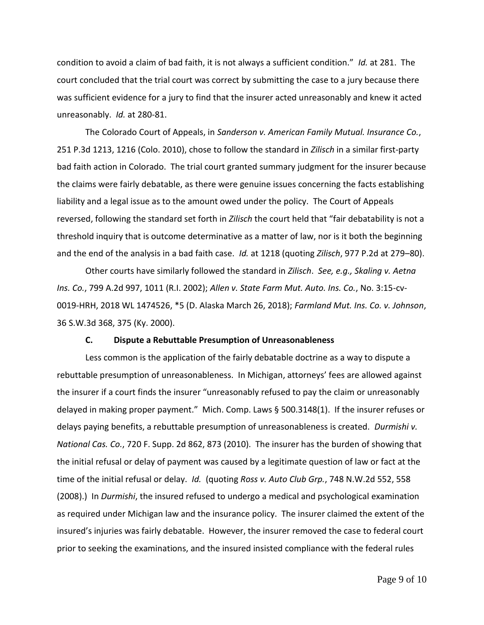condition to avoid a claim of bad faith, it is not always a sufficient condition." *Id.* at 281. The court concluded that the trial court was correct by submitting the case to a jury because there was sufficient evidence for a jury to find that the insurer acted unreasonably and knew it acted unreasonably. *Id.* at 280-81.

The Colorado Court of Appeals, in *Sanderson v. American Family Mutual. Insurance Co.*, 251 P.3d 1213, 1216 (Colo. 2010), chose to follow the standard in *Zilisch* in a similar first-party bad faith action in Colorado. The trial court granted summary judgment for the insurer because the claims were fairly debatable, as there were genuine issues concerning the facts establishing liability and a legal issue as to the amount owed under the policy. The Court of Appeals reversed, following the standard set forth in *Zilisch* the court held that "fair debatability is not a threshold inquiry that is outcome determinative as a matter of law, nor is it both the beginning and the end of the analysis in a bad faith case. *Id.* at 1218 (quoting *Zilisch*, 977 P.2d at 279–80).

Other courts have similarly followed the standard in *Zilisch*. *See, e.g., Skaling v. Aetna Ins. Co.*, 799 A.2d 997, 1011 (R.I. 2002); *Allen v. State Farm Mut. Auto. Ins. Co.*, No. 3:15-cv-0019-HRH, 2018 WL 1474526, \*5 (D. Alaska March 26, 2018); *Farmland Mut. Ins. Co. v. Johnson*, 36 S.W.3d 368, 375 (Ky. 2000).

#### **C. Dispute a Rebuttable Presumption of Unreasonableness**

Less common is the application of the fairly debatable doctrine as a way to dispute a rebuttable presumption of unreasonableness. In Michigan, attorneys' fees are allowed against the insurer if a court finds the insurer "unreasonably refused to pay the claim or unreasonably delayed in making proper payment." Mich. Comp. Laws § 500.3148(1). If the insurer refuses or delays paying benefits, a rebuttable presumption of unreasonableness is created. *Durmishi v. National Cas. Co.*, 720 F. Supp. 2d 862, 873 (2010). The insurer has the burden of showing that the initial refusal or delay of payment was caused by a legitimate question of law or fact at the time of the initial refusal or delay. *Id.* (quoting *Ross v. Auto Club Grp.*, 748 N.W.2d 552, 558 (2008).) In *Durmishi*, the insured refused to undergo a medical and psychological examination as required under Michigan law and the insurance policy. The insurer claimed the extent of the insured's injuries was fairly debatable. However, the insurer removed the case to federal court prior to seeking the examinations, and the insured insisted compliance with the federal rules